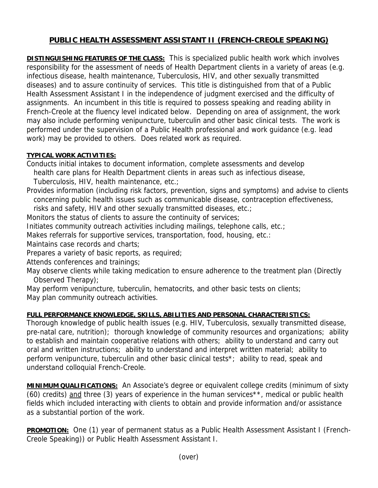## **PUBLIC HEALTH ASSESSMENT ASSISTANT II (FRENCH-CREOLE SPEAKING)**

**DISTINGUISHING FEATURES OF THE CLASS:** This is specialized public health work which involves responsibility for the assessment of needs of Health Department clients in a variety of areas (e.g. infectious disease, health maintenance, Tuberculosis, HIV, and other sexually transmitted diseases) and to assure continuity of services. This title is distinguished from that of a Public Health Assessment Assistant I in the independence of judgment exercised and the difficulty of assignments. An incumbent in this title is required to possess speaking and reading ability in French-Creole at the fluency level indicated below. Depending on area of assignment, the work may also include performing venipuncture, tuberculin and other basic clinical tests. The work is performed under the supervision of a Public Health professional and work guidance (e.g. lead work) may be provided to others. Does related work as required.

## **TYPICAL WORK ACTIVITIES:**

Conducts initial intakes to document information, complete assessments and develop health care plans for Health Department clients in areas such as infectious disease, Tuberculosis, HIV, health maintenance, etc.;

Provides information (including risk factors, prevention, signs and symptoms) and advise to clients concerning public health issues such as communicable disease, contraception effectiveness,

risks and safety, HIV and other sexually transmitted diseases, etc.;

Monitors the status of clients to assure the continuity of services;

Initiates community outreach activities including mailings, telephone calls, etc.;

Makes referrals for supportive services, transportation, food, housing, etc.:

Maintains case records and charts;

Prepares a variety of basic reports, as required;

Attends conferences and trainings;

May observe clients while taking medication to ensure adherence to the treatment plan (Directly Observed Therapy);

May perform venipuncture, tuberculin, hematocrits, and other basic tests on clients; May plan community outreach activities.

## **FULL PERFORMANCE KNOWLEDGE, SKILLS, ABILITIES AND PERSONAL CHARACTERISTICS:**

Thorough knowledge of public health issues (e.g. HIV, Tuberculosis, sexually transmitted disease, pre-natal care, nutrition); thorough knowledge of community resources and organizations; ability to establish and maintain cooperative relations with others; ability to understand and carry out oral and written instructions; ability to understand and interpret written material; ability to perform venipuncture, tuberculin and other basic clinical tests\*; ability to read, speak and understand colloquial French-Creole.

**MINIMUM QUALIFICATIONS:** An Associate's degree or equivalent college credits (minimum of sixty (60) credits) and three (3) years of experience in the human services\*\*, medical or public health fields which included interacting with clients to obtain and provide information and/or assistance as a substantial portion of the work.

**PROMOTION:** One (1) year of permanent status as a Public Health Assessment Assistant I (French-Creole Speaking)) or Public Health Assessment Assistant I.